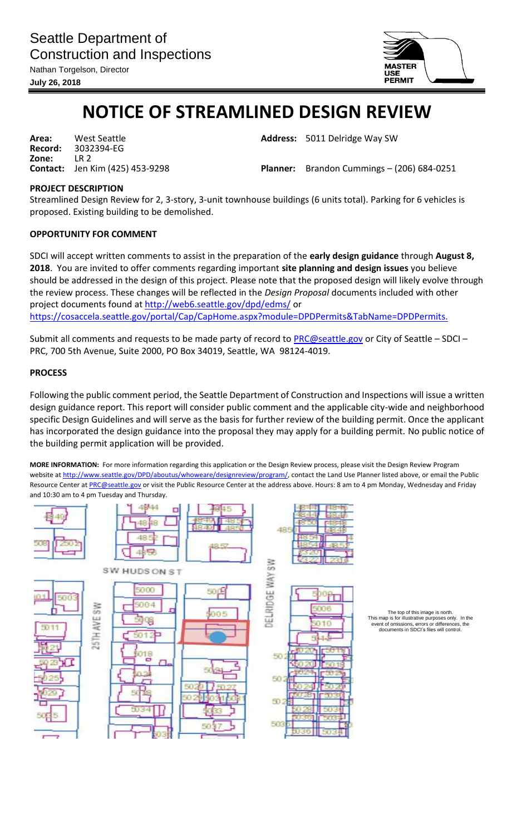

## **NOTICE OF STREAMLINED DESIGN REVIEW**

**Area:** West Seattle **Address:** 5011 Delridge Way SW **Record:** 3032394-EG **Zone:** LR 2<br>**Contact:** Jen Kim (425) 453-9298

**Contact:** Jen Kim (425) 453-9298 **Planner:** Brandon Cummings – (206) 684-0251

## **PROJECT DESCRIPTION**

Streamlined Design Review for 2, 3-story, 3-unit townhouse buildings (6 units total). Parking for 6 vehicles is proposed. Existing building to be demolished.

## **OPPORTUNITY FOR COMMENT**

SDCI will accept written comments to assist in the preparation of the **early design guidance** through **August 8, 2018**. You are invited to offer comments regarding important **site planning and design issues** you believe should be addressed in the design of this project. Please note that the proposed design will likely evolve through the review process. These changes will be reflected in the *Design Proposal* documents included with other project documents found at<http://web6.seattle.gov/dpd/edms/> or https://cosaccela.seattle.gov/portal/Cap/CapHome.aspx?module=DPDPermits&TabName=DPDPermits.

Submit all comments and requests to be made party of record to [PRC@seattle.gov](mailto:PRC@seattle.gov) or City of Seattle - SDCI -PRC, 700 5th Avenue, Suite 2000, PO Box 34019, Seattle, WA 98124-4019.

## **PROCESS**

Following the public comment period, the Seattle Department of Construction and Inspections will issue a written design guidance report. This report will consider public comment and the applicable city-wide and neighborhood specific Design Guidelines and will serve as the basis for further review of the building permit. Once the applicant has incorporated the design guidance into the proposal they may apply for a building permit. No public notice of the building permit application will be provided.

**MORE INFORMATION:** For more information regarding this application or the Design Review process, please visit the Design Review Program website at [http://www.seattle.gov/DPD/aboutus/whoweare/designreview/program/,](http://www.seattle.gov/DPD/aboutus/whoweare/designreview/program/) contact the Land Use Planner listed above, or email the Public Resource Center at [PRC@seattle.gov](mailto:PRC@seattle.gov) or visit the Public Resource Center at the address above. Hours: 8 am to 4 pm Monday, Wednesday and Friday and 10:30 am to 4 pm Tuesday and Thursday.



This map is for illustrative purposes only. In the event of omissions, errors or differences, the event of omissions, errors or differences, the documents in SDCI's files will control.